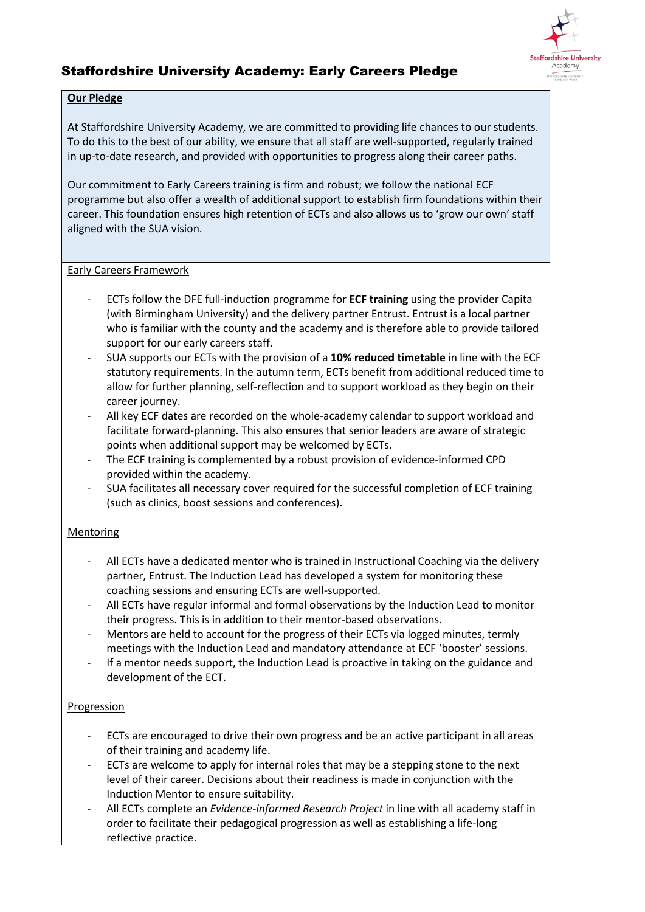

# Staffordshire University Academy: Early Careers Pledge

### **Our Pledge**

At Staffordshire University Academy, we are committed to providing life chances to our students. To do this to the best of our ability, we ensure that all staff are well-supported, regularly trained in up-to-date research, and provided with opportunities to progress along their career paths.

Our commitment to Early Careers training is firm and robust; we follow the national ECF programme but also offer a wealth of additional support to establish firm foundations within their career. This foundation ensures high retention of ECTs and also allows us to 'grow our own' staff aligned with the SUA vision.

### Early Careers Framework

- ECTs follow the DFE full-induction programme for **ECF training** using the provider Capita (with Birmingham University) and the delivery partner Entrust. Entrust is a local partner who is familiar with the county and the academy and is therefore able to provide tailored support for our early careers staff.
- SUA supports our ECTs with the provision of a **10% reduced timetable** in line with the ECF statutory requirements. In the autumn term, ECTs benefit from additional reduced time to allow for further planning, self-reflection and to support workload as they begin on their career journey.
- All key ECF dates are recorded on the whole-academy calendar to support workload and facilitate forward-planning. This also ensures that senior leaders are aware of strategic points when additional support may be welcomed by ECTs.
- The ECF training is complemented by a robust provision of evidence-informed CPD provided within the academy.
- SUA facilitates all necessary cover required for the successful completion of ECF training (such as clinics, boost sessions and conferences).

## Mentoring

- All ECTs have a dedicated mentor who is trained in Instructional Coaching via the delivery partner, Entrust. The Induction Lead has developed a system for monitoring these coaching sessions and ensuring ECTs are well-supported.
- All ECTs have regular informal and formal observations by the Induction Lead to monitor their progress. This is in addition to their mentor-based observations.
- Mentors are held to account for the progress of their ECTs via logged minutes, termly meetings with the Induction Lead and mandatory attendance at ECF 'booster' sessions.
- If a mentor needs support, the Induction Lead is proactive in taking on the guidance and development of the ECT.

## Progression

- ECTs are encouraged to drive their own progress and be an active participant in all areas of their training and academy life.
- ECTs are welcome to apply for internal roles that may be a stepping stone to the next level of their career. Decisions about their readiness is made in conjunction with the Induction Mentor to ensure suitability.
- All ECTs complete an *Evidence-informed Research Project* in line with all academy staff in order to facilitate their pedagogical progression as well as establishing a life-long reflective practice.